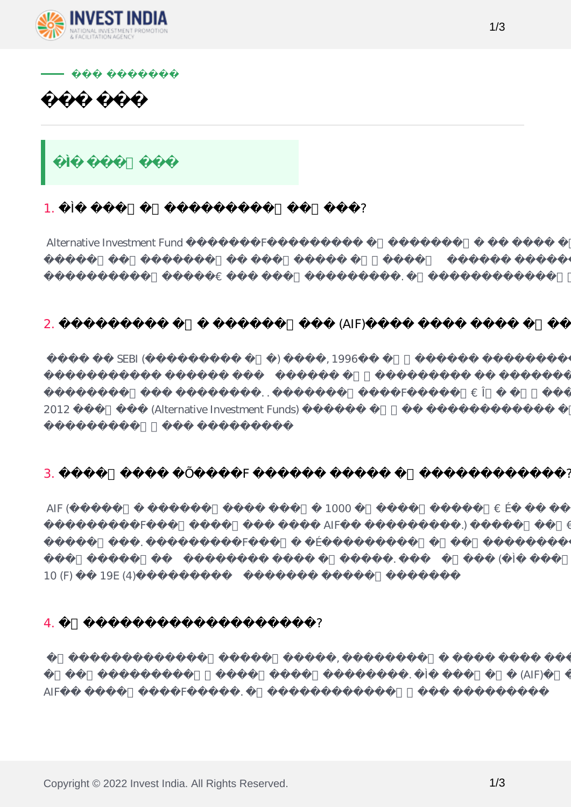

| 1.         |                                     | $\ddot{?}$                                |    |        |           |             |                          |                                 |
|------------|-------------------------------------|-------------------------------------------|----|--------|-----------|-------------|--------------------------|---------------------------------|
|            | Alternative Investment Fund         | AIF                                       |    |        |           |             |                          |                                 |
|            |                                     |                                           |    |        |           |             |                          |                                 |
| 2.         |                                     | SEBI (AIF)                                |    |        |           |             | $\tilde{?}$              |                                 |
|            | SEBI (                              | $,1996\,$<br>$\left( \frac{1}{2} \right)$ |    |        |           |             |                          | (VCF)                           |
| 2012       | SEBI (Alternative Investment Funds) | <b>VCF</b>                                | ,  |        |           |             |                          | $3^{\circ}$<br>$\boldsymbol{2}$ |
|            |                                     |                                           |    |        |           |             |                          |                                 |
| 3.         | <b>AIF</b>                          |                                           |    |        |           | $\tilde{?}$ |                          |                                 |
| AIF (      | $\mathcal{L}$<br>$\rm{AIF}$         | 1000<br>$\rm{AIF}$                        | .) |        |           |             |                          | $,1956\,$<br>$\cdot$ (<br>200   |
|            | $\rm{AIF}$                          |                                           | k, | SEBI ( |           |             | $\overline{\phantom{a}}$ | 2012                            |
| 10 (F)     | 19E (4)                             |                                           |    |        |           |             |                          |                                 |
| 4.         |                                     | $\ddot{\cdot}$                            |    |        |           |             |                          |                                 |
|            | Fund of Funds                       | $\, ,$                                    |    |        |           |             |                          |                                 |
| $\rm{AIF}$ | $\rm{AIF}$                          | $\bullet$                                 |    |        | $\bullet$ | (AIF)       |                          |                                 |

1/3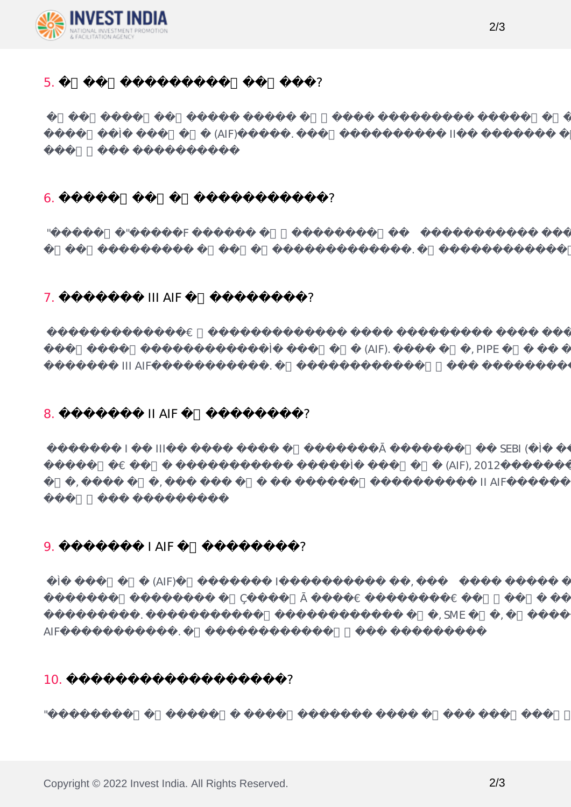

| 5.           |                | $\ddot{\cdot}$         |          |                      |
|--------------|----------------|------------------------|----------|----------------------|
|              | $\bullet$      | (AIF)<br>$\sim 100$ km | $\rm II$ | $\bullet$            |
| 6.           |                | $\ddot{\mathcal{E}}$   |          |                      |
| $\mathsf{H}$ | " $\,$ AIF     | $\bullet$              |          | $\bf I$<br>$\bullet$ |
| 7.           | <b>III AIF</b> | $\ddot{?}$             |          |                      |

alf). **http:** http://en.com/en/organizations/en/organizations/en/organizations/en/organizations/en/organizations/en/organizations/en/organizations/en/organizations/en/organizations/en/organizations/en/organizations/en/orga III AIF

## $8.$  II AIF  $?$

 $\text{I}$  III  $\text{SEBI}$  ()  $(AIF), 2012$  II AIF  $\ldots$  $\rm{H\,AIF}$ 여기를 클릭 하십시오.

## 9. I AIF  $\,$  ?  $\mbox{(AlF)}\qquad \qquad \mbox{I}\qquad \qquad ,\qquad \qquad ,\qquad \qquad ,\qquad \qquad (\mbox{SME}),$

포함됩니다. 바람직한. 여기에는 벤처 캐피탈 펀드, SME 펀드, 소셜 벤처 펀드, 인프라 펀드 및 기타  $\overline{\text{AIF}}$   $\qquad \qquad$   $\qquad \qquad$ 

10. 엔젤 투자자는 무엇입니까?

"엔젤 투자자"란 엔젤 펀드 투자를 제안하고 다음 조건 중 하나를 만족하는자를 의미합니다. 주